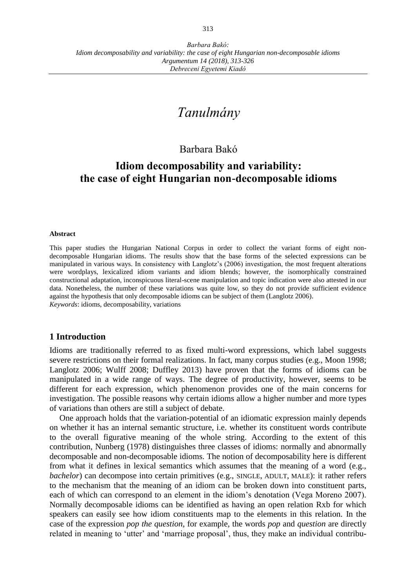# *Tanulmány*

## Barbara Bakó

## **Idiom decomposability and variability: the case of eight Hungarian non-decomposable idioms**

#### **Abstract**

This paper studies the Hungarian National Corpus in order to collect the variant forms of eight nondecomposable Hungarian idioms. The results show that the base forms of the selected expressions can be manipulated in various ways. In consistency with Langlotz's (2006) investigation, the most frequent alterations were wordplays, lexicalized idiom variants and idiom blends; however, the isomorphically constrained constructional adaptation, inconspicuous literal-scene manipulation and topic indication were also attested in our data. Nonetheless, the number of these variations was quite low, so they do not provide sufficient evidence against the hypothesis that only decomposable idioms can be subject of them (Langlotz 2006). *Keywords*: idioms, decomposability, variations

#### **1 Introduction**

Idioms are traditionally referred to as fixed multi-word expressions, which label suggests severe restrictions on their formal realizations. In fact, many corpus studies (e.g., Moon 1998; Langlotz 2006; Wulff 2008; Duffley 2013) have proven that the forms of idioms can be manipulated in a wide range of ways. The degree of productivity, however, seems to be different for each expression, which phenomenon provides one of the main concerns for investigation. The possible reasons why certain idioms allow a higher number and more types of variations than others are still a subject of debate.

One approach holds that the variation-potential of an idiomatic expression mainly depends on whether it has an internal semantic structure, i.e. whether its constituent words contribute to the overall figurative meaning of the whole string. According to the extent of this contribution, Nunberg (1978) distinguishes three classes of idioms: normally and abnormally decomposable and non-decomposable idioms. The notion of decomposability here is different from what it defines in lexical semantics which assumes that the meaning of a word (e.g., *bachelor*) can decompose into certain primitives (e.g., SINGLE, ADULT, MALE): it rather refers to the mechanism that the meaning of an idiom can be broken down into constituent parts, each of which can correspond to an element in the idiom's denotation (Vega Moreno 2007). Normally decomposable idioms can be identified as having an open relation Rxb for which speakers can easily see how idiom constituents map to the elements in this relation. In the case of the expression *pop the question*, for example, the words *pop* and *question* are directly related in meaning to 'utter' and 'marriage proposal', thus, they make an individual contribu-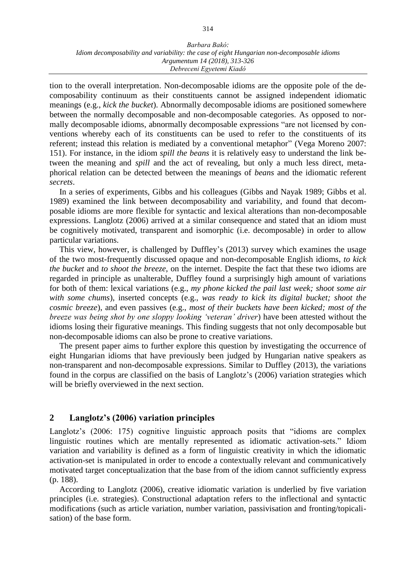tion to the overall interpretation. Non-decomposable idioms are the opposite pole of the decomposability continuum as their constituents cannot be assigned independent idiomatic meanings (e.g., *kick the bucket*). Abnormally decomposable idioms are positioned somewhere between the normally decomposable and non-decomposable categories. As opposed to normally decomposable idioms, abnormally decomposable expressions "are not licensed by conventions whereby each of its constituents can be used to refer to the constituents of its referent; instead this relation is mediated by a conventional metaphor" (Vega Moreno 2007: 151). For instance, in the idiom *spill the beans* it is relatively easy to understand the link between the meaning and *spill* and the act of revealing, but only a much less direct, metaphorical relation can be detected between the meanings of *beans* and the idiomatic referent *secrets*.

In a series of experiments, Gibbs and his colleagues (Gibbs and Nayak 1989; Gibbs et al. 1989) examined the link between decomposability and variability, and found that decomposable idioms are more flexible for syntactic and lexical alterations than non-decomposable expressions. Langlotz (2006) arrived at a similar consequence and stated that an idiom must be cognitively motivated, transparent and isomorphic (i.e. decomposable) in order to allow particular variations.

This view, however, is challenged by Duffley's (2013) survey which examines the usage of the two most-frequently discussed opaque and non-decomposable English idioms, *to kick the bucket* and *to shoot the breeze*, on the internet. Despite the fact that these two idioms are regarded in principle as unalterable, Duffley found a surprisingly high amount of variations for both of them: lexical variations (e.g., *my phone kicked the pail last week; shoot some air with some chums*), inserted concepts (e.g., *was ready to kick its digital bucket; shoot the cosmic breeze*), and even passives (e.g., *most of their buckets have been kicked; most of the breeze was being shot by one sloppy looking 'veteran' driver*) have been attested without the idioms losing their figurative meanings. This finding suggests that not only decomposable but non-decomposable idioms can also be prone to creative variations.

The present paper aims to further explore this question by investigating the occurrence of eight Hungarian idioms that have previously been judged by Hungarian native speakers as non-transparent and non-decomposable expressions. Similar to Duffley (2013), the variations found in the corpus are classified on the basis of Langlotz's (2006) variation strategies which will be briefly overviewed in the next section.

### **2 Langlotz's (2006) variation principles**

Langlotz's (2006: 175) cognitive linguistic approach posits that "idioms are complex linguistic routines which are mentally represented as idiomatic activation-sets." Idiom variation and variability is defined as a form of linguistic creativity in which the idiomatic activation-set is manipulated in order to encode a contextually relevant and communicatively motivated target conceptualization that the base from of the idiom cannot sufficiently express (p. 188).

According to Langlotz (2006), creative idiomatic variation is underlied by five variation principles (i.e. strategies). Constructional adaptation refers to the inflectional and syntactic modifications (such as article variation, number variation, passivisation and fronting/topicalisation) of the base form.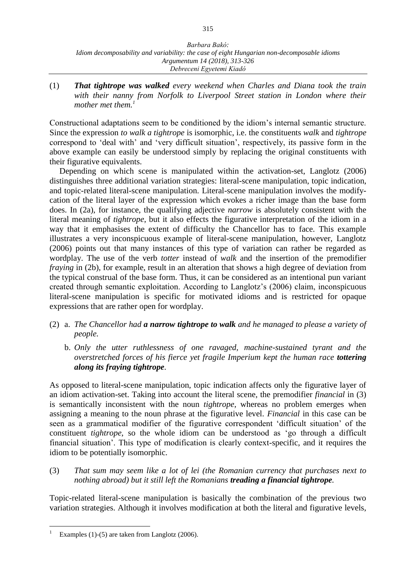(1) *That tightrope was walked every weekend when Charles and Diana took the train*  with their nanny from Norfolk to Liverpool Street station in London where their *mother met them.<sup>1</sup>*

Constructional adaptations seem to be conditioned by the idiom's internal semantic structure. Since the expression *to walk a tightrope* is isomorphic, i.e. the constituents *walk* and *tightrope* correspond to 'deal with' and 'very difficult situation', respectively, its passive form in the above example can easily be understood simply by replacing the original constituents with their figurative equivalents.

Depending on which scene is manipulated within the activation-set, Langlotz (2006) distinguishes three additional variation strategies: literal-scene manipulation, topic indication, and topic-related literal-scene manipulation. Literal-scene manipulation involves the modifycation of the literal layer of the expression which evokes a richer image than the base form does. In (2a), for instance, the qualifying adjective *narrow* is absolutely consistent with the literal meaning of *tightrope*, but it also effects the figurative interpretation of the idiom in a way that it emphasises the extent of difficulty the Chancellor has to face. This example illustrates a very inconspicuous example of literal-scene manipulation, however, Langlotz (2006) points out that many instances of this type of variation can rather be regarded as wordplay. The use of the verb *totter* instead of *walk* and the insertion of the premodifier *fraying* in (2b), for example, result in an alteration that shows a high degree of deviation from the typical construal of the base form. Thus, it can be considered as an intentional pun variant created through semantic exploitation. According to Langlotz's (2006) claim, inconspicuous literal-scene manipulation is specific for motivated idioms and is restricted for opaque expressions that are rather open for wordplay.

- (2) a. *The Chancellor had a narrow tightrope to walk and he managed to please a variety of people.*
	- b. *Only the utter ruthlessness of one ravaged, machine-sustained tyrant and the overstretched forces of his fierce yet fragile Imperium kept the human race tottering along its fraying tightrope.*

As opposed to literal-scene manipulation, topic indication affects only the figurative layer of an idiom activation-set. Taking into account the literal scene, the premodifier *financial* in (3) is semantically inconsistent with the noun *tightrope*, whereas no problem emerges when assigning a meaning to the noun phrase at the figurative level. *Financial* in this case can be seen as a grammatical modifier of the figurative correspondent 'difficult situation' of the constituent *tightrope*, so the whole idiom can be understood as 'go through a difficult financial situation'. This type of modification is clearly context-specific, and it requires the idiom to be potentially isomorphic.

(3) *That sum may seem like a lot of lei (the Romanian currency that purchases next to nothing abroad) but it still left the Romanians treading a financial tightrope.* 

Topic-related literal-scene manipulation is basically the combination of the previous two variation strategies. Although it involves modification at both the literal and figurative levels,

 $\overline{a}$ Examples (1)-(5) are taken from Langlotz (2006).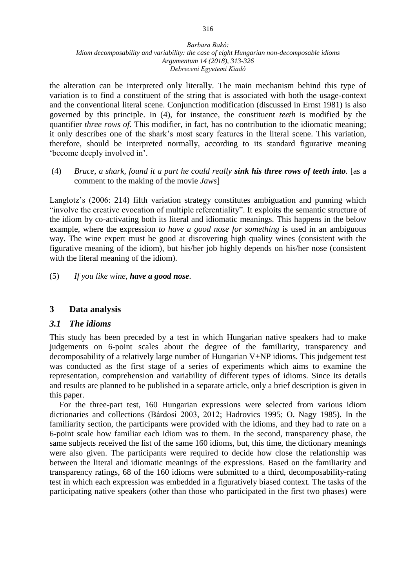the alteration can be interpreted only literally. The main mechanism behind this type of variation is to find a constituent of the string that is associated with both the usage-context and the conventional literal scene. Conjunction modification (discussed in Ernst 1981) is also governed by this principle. In (4), for instance, the constituent *teeth* is modified by the quantifier *three rows of*. This modifier, in fact, has no contribution to the idiomatic meaning; it only describes one of the shark's most scary features in the literal scene. This variation, therefore, should be interpreted normally, according to its standard figurative meaning 'become deeply involved in'.

(4) *Bruce, a shark, found it a part he could really sink his three rows of teeth into.* [as a comment to the making of the movie *Jaws*]

Langlotz's (2006: 214) fifth variation strategy constitutes ambiguation and punning which "involve the creative evocation of multiple referentiality". It exploits the semantic structure of the idiom by co-activating both its literal and idiomatic meanings. This happens in the below example, where the expression *to have a good nose for something* is used in an ambiguous way. The wine expert must be good at discovering high quality wines (consistent with the figurative meaning of the idiom), but his/her job highly depends on his/her nose (consistent with the literal meaning of the idiom).

(5) *If you like wine, have a good nose.*

### **3 Data analysis**

### *3.1 The idioms*

This study has been preceded by a test in which Hungarian native speakers had to make judgements on 6-point scales about the degree of the familiarity, transparency and decomposability of a relatively large number of Hungarian V+NP idioms. This judgement test was conducted as the first stage of a series of experiments which aims to examine the representation, comprehension and variability of different types of idioms. Since its details and results are planned to be published in a separate article, only a brief description is given in this paper.

For the three-part test, 160 Hungarian expressions were selected from various idiom dictionaries and collections (Bárdosi 2003, 2012; Hadrovics 1995; O. Nagy 1985). In the familiarity section, the participants were provided with the idioms, and they had to rate on a 6-point scale how familiar each idiom was to them. In the second, transparency phase, the same subjects received the list of the same 160 idioms, but, this time, the dictionary meanings were also given. The participants were required to decide how close the relationship was between the literal and idiomatic meanings of the expressions. Based on the familiarity and transparency ratings, 68 of the 160 idioms were submitted to a third, decomposability-rating test in which each expression was embedded in a figuratively biased context. The tasks of the participating native speakers (other than those who participated in the first two phases) were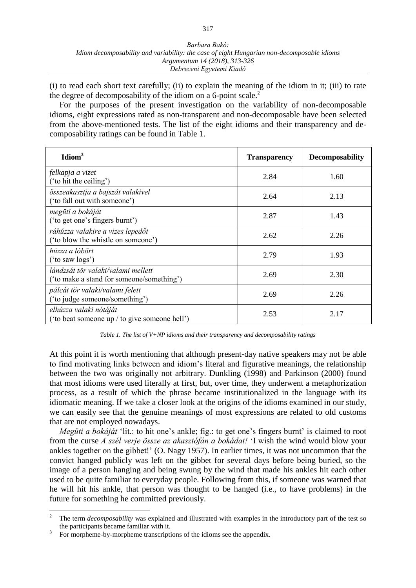(i) to read each short text carefully; (ii) to explain the meaning of the idiom in it; (iii) to rate the degree of decomposability of the idiom on a 6-point scale. $<sup>2</sup>$ </sup>

For the purposes of the present investigation on the variability of non-decomposable idioms, eight expressions rated as non-transparent and non-decomposable have been selected from the above-mentioned tests. The list of the eight idioms and their transparency and decomposability ratings can be found in Table 1.

| Idiom <sup>3</sup>                                                              | <b>Transparency</b> | <b>Decomposability</b> |
|---------------------------------------------------------------------------------|---------------------|------------------------|
| felkapja a vizet<br>('to hit the ceiling')                                      | 2.84                | 1.60                   |
| összeakasztja a bajszát valakivel<br>('to fall out with someone')               | 2.64                | 2.13                   |
| megüti a bokáját<br>('to get one's fingers burnt')                              | 2.87                | 1.43                   |
| ráhúzza valakire a vizes lepedőt<br>('to blow the whistle on someone')          | 2.62                | 2.26                   |
| húzza a lóbőrt<br>('to saw logs')                                               | 2.79                | 1.93                   |
| lándzsát tör valaki/valami mellett<br>('to make a stand for someone/something') | 2.69                | 2.30                   |
| pálcát tör valaki/valami felett<br>('to judge someone/something')               | 2.69                | 2.26                   |
| elhúzza valaki nótáját<br>('to beat someone up / to give someone hell')         | 2.53                | 2.17                   |

*Table 1. The list of V+NP idioms and their transparency and decomposability ratings*

At this point it is worth mentioning that although present-day native speakers may not be able to find motivating links between and idiom's literal and figurative meanings, the relationship between the two was originally not arbitrary. Dunkling (1998) and Parkinson (2000) found that most idioms were used literally at first, but, over time, they underwent a metaphorization process, as a result of which the phrase became institutionalized in the language with its idiomatic meaning. If we take a closer look at the origins of the idioms examined in our study, we can easily see that the genuine meanings of most expressions are related to old customs that are not employed nowadays.

*Megüti a bokáját* 'lit.: to hit one's ankle; fig.: to get one's fingers burnt' is claimed to root from the curse *A szél verje össze az akasztófán a bokádat!* 'I wish the wind would blow your ankles together on the gibbet!' (O. Nagy 1957). In earlier times, it was not uncommon that the convict hanged publicly was left on the gibbet for several days before being buried, so the image of a person hanging and being swung by the wind that made his ankles hit each other used to be quite familiar to everyday people. Following from this, if someone was warned that he will hit his ankle, that person was thought to be hanged (i.e., to have problems) in the future for something he committed previously.

 $\overline{a}$ 

<sup>2</sup> The term *decomposability* was explained and illustrated with examples in the introductory part of the test so the participants became familiar with it.

<sup>3</sup> For morpheme-by-morpheme transcriptions of the idioms see the appendix.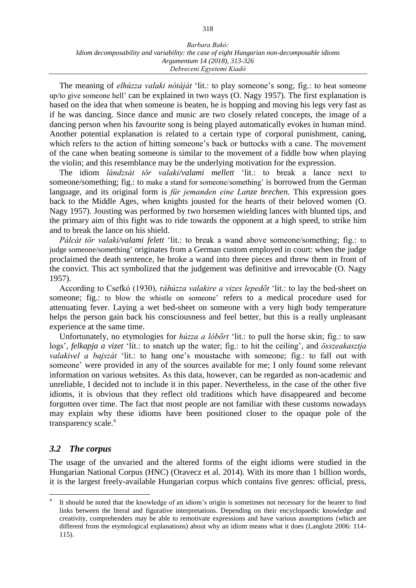The meaning of *elhúzza valaki nótáját* 'lit.: to play someone's song; fig.: to beat someone up/to give someone hell' can be explained in two ways (O. Nagy 1957). The first explanation is based on the idea that when someone is beaten, he is hopping and moving his legs very fast as if he was dancing. Since dance and music are two closely related concepts, the image of a dancing person when his favourite song is being played automatically evokes in human mind. Another potential explanation is related to a certain type of corporal punishment, caning, which refers to the action of hitting someone's back or buttocks with a cane. The movement of the cane when beating someone is similar to the movement of a fiddle bow when playing the violin; and this resemblance may be the underlying motivation for the expression.

The idiom *lándzsát tör valaki/valami mellett* 'lit.: to break a lance next to someone/something; fig.: to make a stand for someone/something' is borrowed from the German language, and its original form is *für jemanden eine Lanze brechen.* This expression goes back to the Middle Ages, when knights jousted for the hearts of their beloved women (O. Nagy 1957). Jousting was performed by two horsemen wielding lances with blunted tips, and the primary aim of this fight was to ride towards the opponent at a high speed, to strike him and to break the lance on his shield.

*Pálcát tör valaki/valami felett* 'lit.: to break a wand above someone/something; fig.: to judge someone/something' originates from a German custom employed in court: when the judge proclaimed the death sentence, he broke a wand into three pieces and threw them in front of the convict. This act symbolized that the judgement was definitive and irrevocable (O. Nagy 1957).

According to Csefkó (1930), *ráhúzza valakire a vizes lepedőt* 'lit.: to lay the bed-sheet on someone; fig.: to blow the whistle on someone' refers to a medical procedure used for attenuating fever. Laying a wet bed-sheet on someone with a very high body temperature helps the person gain back his consciousness and feel better, but this is a really unpleasant experience at the same time.

Unfortunately, no etymologies for *húzza a lóbőrt* 'lit.: to pull the horse skin; fig.: to saw logs'*, felkapja a vizet* 'lit.: to snatch up the water; fig.: to hit the ceiling', and *összeakasztja valakivel a bajszát* 'lit.: to hang one's moustache with someone; fig.: to fall out with someone' were provided in any of the sources available for me; I only found some relevant information on various websites. As this data, however, can be regarded as non-academic and unreliable, I decided not to include it in this paper. Nevertheless, in the case of the other five idioms, it is obvious that they reflect old traditions which have disappeared and become forgotten over time. The fact that most people are not familiar with these customs nowadays may explain why these idioms have been positioned closer to the opaque pole of the transparency scale. 4

### *3.2 The corpus*

 $\overline{a}$ 

The usage of the unvaried and the altered forms of the eight idioms were studied in the Hungarian National Corpus (HNC) (Oravecz et al. 2014). With its more than 1 billion words, it is the largest freely-available Hungarian corpus which contains five genres: official, press,

<sup>4</sup> It should be noted that the knowledge of an idiom's origin is sometimes not necessary for the hearer to find links between the literal and figurative interpretations. Depending on their encyclopaedic knowledge and creativity, comprehenders may be able to remotivate expressions and have various assumptions (which are different from the etymological explanations) about why an idiom means what it does (Langlotz 2006: 114- 115).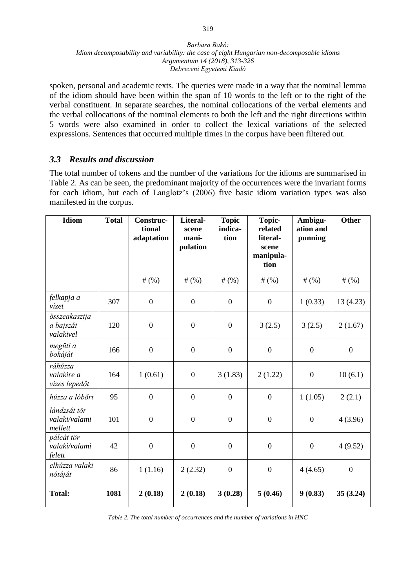spoken, personal and academic texts. The queries were made in a way that the nominal lemma of the idiom should have been within the span of 10 words to the left or to the right of the verbal constituent. In separate searches, the nominal collocations of the verbal elements and the verbal collocations of the nominal elements to both the left and the right directions within 5 words were also examined in order to collect the lexical variations of the selected expressions. Sentences that occurred multiple times in the corpus have been filtered out.

### *3.3 Results and discussion*

The total number of tokens and the number of the variations for the idioms are summarised in Table 2. As can be seen, the predominant majority of the occurrences were the invariant forms for each idiom, but each of Langlotz's (2006) five basic idiom variation types was also manifested in the corpus.

| <b>Idiom</b>                             | <b>Total</b> | Construc-<br>tional<br>adaptation | Literal-<br>scene<br>mani-<br>pulation | <b>Topic</b><br>indica-<br>tion | Topic-<br>related<br>literal-<br>scene<br>manipula-<br>tion | Ambigu-<br>ation and<br>punning | <b>Other</b>     |
|------------------------------------------|--------------|-----------------------------------|----------------------------------------|---------------------------------|-------------------------------------------------------------|---------------------------------|------------------|
|                                          |              | # $(%)$                           | # $(%)$                                | # $(%)$                         | # $(%)$                                                     | # $(%)$                         | # $(%)$          |
| felkapja a<br>vizet                      | 307          | $\overline{0}$                    | $\overline{0}$                         | $\overline{0}$                  | $\boldsymbol{0}$                                            | 1(0.33)                         | 13 (4.23)        |
| összeakasztja<br>a bajszát<br>valakivel  | 120          | $\boldsymbol{0}$                  | $\boldsymbol{0}$                       | $\boldsymbol{0}$                | 3(2.5)                                                      | 3(2.5)                          | 2(1.67)          |
| megüti a<br>bokáját                      | 166          | $\boldsymbol{0}$                  | $\boldsymbol{0}$                       | $\boldsymbol{0}$                | $\boldsymbol{0}$                                            | $\boldsymbol{0}$                | $\boldsymbol{0}$ |
| ráhúzza<br>valakire a<br>vizes lepedőt   | 164          | 1(0.61)                           | $\boldsymbol{0}$                       | 3(1.83)                         | 2(1.22)                                                     | $\boldsymbol{0}$                | 10(6.1)          |
| húzza a lóbőrt                           | 95           | $\boldsymbol{0}$                  | $\boldsymbol{0}$                       | $\boldsymbol{0}$                | $\boldsymbol{0}$                                            | 1(1.05)                         | 2(2.1)           |
| lándzsát tör<br>valaki/valami<br>mellett | 101          | $\boldsymbol{0}$                  | $\boldsymbol{0}$                       | $\boldsymbol{0}$                | $\overline{0}$                                              | $\boldsymbol{0}$                | 4(3.96)          |
| pálcát tör<br>valaki/valami<br>felett    | 42           | $\boldsymbol{0}$                  | $\boldsymbol{0}$                       | $\overline{0}$                  | $\boldsymbol{0}$                                            | $\mathbf{0}$                    | 4(9.52)          |
| elhúzza valaki<br>nótáját                | 86           | 1(1.16)                           | 2(2.32)                                | $\overline{0}$                  | $\boldsymbol{0}$                                            | 4(4.65)                         | $\overline{0}$   |
| <b>Total:</b>                            | 1081         | 2(0.18)                           | 2(0.18)                                | 3(0.28)                         | 5(0.46)                                                     | 9(0.83)                         | 35(3.24)         |

*Table 2. The total number of occurrences and the number of variations in HNC*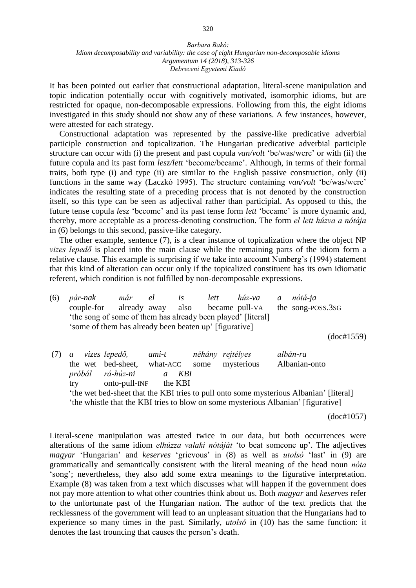It has been pointed out earlier that constructional adaptation, literal-scene manipulation and topic indication potentially occur with cognitively motivated, isomorphic idioms, but are restricted for opaque, non-decomposable expressions. Following from this, the eight idioms investigated in this study should not show any of these variations. A few instances, however, were attested for each strategy.

Constructional adaptation was represented by the passive-like predicative adverbial participle construction and topicalization. The Hungarian predicative adverbial participle structure can occur with (i) the present and past copula *van/volt* 'be/was/were' or with (ii) the future copula and its past form *lesz/lett* 'become/became'. Although, in terms of their formal traits, both type (i) and type (ii) are similar to the English passive construction, only (ii) functions in the same way (Laczkó 1995). The structure containing *van/volt* 'be/was/were' indicates the resulting state of a preceding process that is not denoted by the construction itself, so this type can be seen as adjectival rather than participial. As opposed to this, the future tense copula *lesz* 'become' and its past tense form *lett* 'became' is more dynamic and, thereby, more acceptable as a process-denoting construction. The form *el lett húzva a nótája* in (6) belongs to this second, passive-like category.

The other example, sentence (7), is a clear instance of topicalization where the object NP *vizes lepedő* is placed into the main clause while the remaining parts of the idiom form a relative clause. This example is surprising if we take into account Nunberg's (1994) statement that this kind of alteration can occur only if the topicalized constituent has its own idiomatic referent, which condition is not fulfilled by non-decomposable expressions.

| (6) | pár-nak    | már                                                                                    | el             | lett<br>is       | húz-va         | $\mathfrak a$ | nótá-ja           |            |
|-----|------------|----------------------------------------------------------------------------------------|----------------|------------------|----------------|---------------|-------------------|------------|
|     | couple-for |                                                                                        | already away   | also             | became pull-VA |               | the song-poss.3sG |            |
|     |            | 'the song of some of them has already been played' [literal]                           |                |                  |                |               |                   |            |
|     |            | 'some of them has already been beaten up' [figurative]                                 |                |                  |                |               |                   |            |
|     |            |                                                                                        |                |                  |                |               |                   | (doc#1559) |
|     | a          | vizes lepedő,                                                                          | ami-t          | néhány rejtélyes |                |               | albán-ra          |            |
|     |            | the wet bed-sheet, what-ACC                                                            |                | some             | mysterious     |               | Albanian-onto     |            |
|     | próbál     | rá-húz-ni                                                                              | $\mathfrak{a}$ | KBI              |                |               |                   |            |
|     | try        | onto-pull-INF                                                                          | the KBI        |                  |                |               |                   |            |
|     |            | 'the wet bed-sheet that the KBI tries to pull onto some mysterious Albanian' [literal] |                |                  |                |               |                   |            |
|     |            | 'the whistle that the KBI tries to blow on some mysterious Albanian' [figurative]      |                |                  |                |               |                   |            |

(doc#1057)

Literal-scene manipulation was attested twice in our data, but both occurrences were alterations of the same idiom *elhúzza valaki nótáját* 'to beat someone up'. The adjectives *magyar* 'Hungarian' and *keserves* 'grievous' in (8) as well as *utolsó* 'last' in (9) are grammatically and semantically consistent with the literal meaning of the head noun *nóta* 'song'; nevertheless, they also add some extra meanings to the figurative interpretation. Example (8) was taken from a text which discusses what will happen if the government does not pay more attention to what other countries think about us. Both *magyar* and *keserves* refer to the unfortunate past of the Hungarian nation. The author of the text predicts that the recklessness of the government will lead to an unpleasant situation that the Hungarians had to experience so many times in the past. Similarly, *utolsó* in (10) has the same function: it denotes the last trouncing that causes the person's death.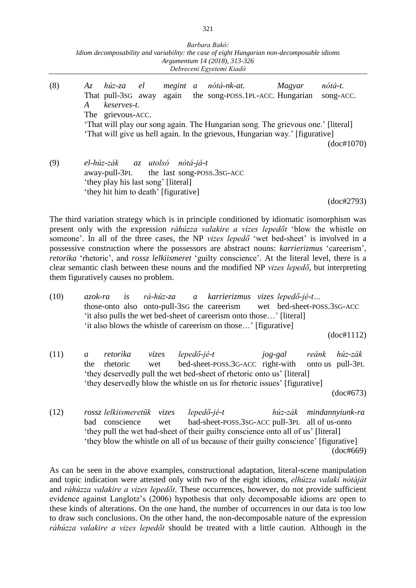|     | Barbara Bakó:<br>Idiom decomposability and variability: the case of eight Hungarian non-decomposable idioms<br>Argumentum 14 (2018), 313-326<br>Debreceni Egyetemi Kiadó                                                                                                                                                  |                                    |
|-----|---------------------------------------------------------------------------------------------------------------------------------------------------------------------------------------------------------------------------------------------------------------------------------------------------------------------------|------------------------------------|
| (8) | Az húz-za el megint a nótá-nk-at. Magyar<br>That pull-3sG away again the song-POSS.1PL-ACC. Hungarian<br>keserves-t.<br>$\bm{A}$<br>The grievous-ACC.<br>'That will play our song again. The Hungarian song. The grievous one.' [literal]<br>'That will give us hell again. In the grievous, Hungarian way.' [figurative] | nótá-t.<br>song-ACC.<br>(doc#1070) |
| (9) | el-húz-zák az utolsó nótá-já-t<br>away-pull-3PL the last song-POSS.3SG-ACC<br>'they play his last song' [literal]<br>'they hit him to death' [figurative]                                                                                                                                                                 | (doc#2793)                         |

The third variation strategy which is in principle conditioned by idiomatic isomorphism was present only with the expression *ráhúzza valakire a vizes lepedőt* 'blow the whistle on someone'. In all of the three cases, the NP *vizes lepedő* 'wet bed-sheet' is involved in a possessive construction where the possessors are abstract nouns: *karrierizmus* 'careerism', *retorika* 'rhetoric', and *rossz lelkiismeret* 'guilty conscience'. At the literal level, there is a clear semantic clash between these nouns and the modified NP *vizes lepedő*, but interpreting them figuratively causes no problem.

(10) *azok-ra is rá-húz-za a karrierizmus vizes lepedő-jé-t…* those-onto also onto-pull-3SG the careerism wet bed-sheet-POSS.3SG-ACC 'it also pulls the wet bed-sheet of careerism onto those…' [literal] 'it also blows the whistle of careerism on those…' [figurative]

(doc#1112)

- (11) *a retorika vizes lepedő-jé-t jog-gal reánk húz-zák* the rhetoric wet bed-sheet-POSS.3G-ACC right-with onto us pull-3PL 'they deservedly pull the wet bed-sheet of rhetoric onto us' [literal] 'they deservedly blow the whistle on us for rhetoric issues' [figurative] (doc#673)
- (12) *rossz lelkiismeretük vizes lepedő-jé-t húz-zák mindannyiunk-ra* bad conscience wet bad-sheet-POSS.3SG-ACC pull-3PL all of us-onto 'they pull the wet bad-sheet of their guilty conscience onto all of us' [literal] 'they blow the whistle on all of us because of their guilty conscience' [figurative] (doc#669)

As can be seen in the above examples, constructional adaptation, literal-scene manipulation and topic indication were attested only with two of the eight idioms, *elhúzza valaki nótáját* and *ráhúzza valakire a vizes lepedőt*. These occurrences, however, do not provide sufficient evidence against Langlotz's (2006) hypothesis that only decomposable idioms are open to these kinds of alterations. On the one hand, the number of occurrences in our data is too low to draw such conclusions. On the other hand, the non-decomposable nature of the expression *ráhúzza valakire a vizes lepedőt* should be treated with a little caution. Although in the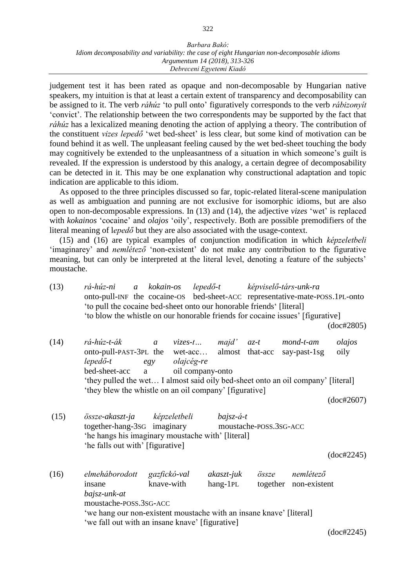judgement test it has been rated as opaque and non-decomposable by Hungarian native speakers, my intuition is that at least a certain extent of transparency and decomposability can be assigned to it. The verb *ráhúz* 'to pull onto' figuratively corresponds to the verb *rábizonyít* 'convict'. The relationship between the two correspondents may be supported by the fact that *ráhúz* has a lexicalized meaning denoting the action of applying a theory. The contribution of the constituent *vizes lepedő* 'wet bed-sheet' is less clear, but some kind of motivation can be found behind it as well. The unpleasant feeling caused by the wet bed-sheet touching the body may cognitively be extended to the unpleasantness of a situation in which someone's guilt is revealed. If the expression is understood by this analogy, a certain degree of decomposability can be detected in it. This may be one explanation why constructional adaptation and topic indication are applicable to this idiom.

As opposed to the three principles discussed so far, topic-related literal-scene manipulation as well as ambiguation and punning are not exclusive for isomorphic idioms, but are also open to non-decomposable expressions. In (13) and (14), the adjective *vizes* 'wet' is replaced with *kokainos* 'cocaine' and *olajos* 'oily', respectively. Both are possible premodifiers of the literal meaning of l*epedő* but they are also associated with the usage-context.

(15) and (16) are typical examples of conjunction modification in which *képzeletbeli* 'imaginarey' and *nemlétező* 'non-existent' do not make any contribution to the figurative meaning, but can only be interpreted at the literal level, denoting a feature of the subjects' moustache.

(13) *rá-húz-ni a kokain-os lepedő-t képviselő-társ-unk-ra* onto-pull-INF the cocaine-OS bed-sheet-ACC representative-mate-POSS.1PL-onto 'to pull the cocaine bed-sheet onto our honorable friends' [literal] 'to blow the whistle on our honorable friends for cocaine issues' [figurative] (doc#2805) (14) *rá-húz-t-ák a vizes-t… majd' az-t mond-t-am olajos* onto-pull-PAST-3PL the wet-acc… almost that-acc say-past-1sg oily *lepedő-t egy olajcég-re* bed-sheet-acc a oil company-onto 'they pulled the wet… I almost said oily bed-sheet onto an oil company' [literal] 'they blew the whistle on an oil company' [figurative] (doc#2607) (15) *össze-akaszt-ja képzeletbeli bajsz-á-t* together-hang-3SG imaginary moustache-POSS.3SG-ACC 'he hangs his imaginary moustache with' [literal] 'he falls out with' [figurative] (doc#2245) (16) *elmeháborodott gazfickó-val akaszt-juk össze nemlétező*  insane knave-with hang-1PL together non-existent *bajsz-unk-at*  moustache-POSS.3SG-ACC 'we hang our non-existent moustache with an insane knave' [literal] 'we fall out with an insane knave' [figurative]

(doc#2245)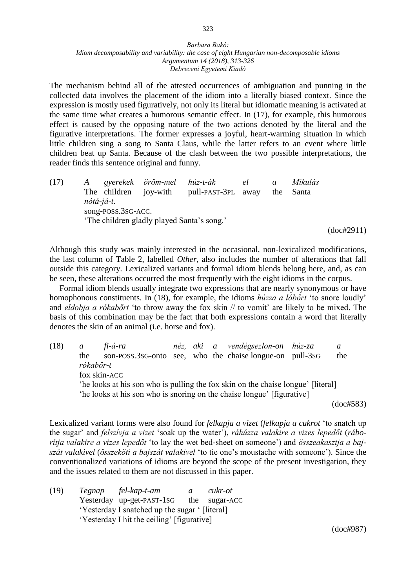323

The mechanism behind all of the attested occurrences of ambiguation and punning in the collected data involves the placement of the idiom into a literally biased context. Since the expression is mostly used figuratively, not only its literal but idiomatic meaning is activated at the same time what creates a humorous semantic effect. In (17), for example, this humorous effect is caused by the opposing nature of the two actions denoted by the literal and the figurative interpretations. The former expresses a joyful, heart-warming situation in which little children sing a song to Santa Claus, while the latter refers to an event where little children beat up Santa. Because of the clash between the two possible interpretations, the reader finds this sentence original and funny.

(17) *A gyerekek öröm-mel húz-t-ák el a Mikulás* The children joy-with pull-PAST-3PL away the Santa *nótá-já-t.* song-POSS.3SG-ACC. 'The children gladly played Santa's song.'

(doc#2911)

Although this study was mainly interested in the occasional, non-lexicalized modifications, the last column of Table 2, labelled *Other*, also includes the number of alterations that fall outside this category. Lexicalized variants and formal idiom blends belong here, and, as can be seen, these alterations occurred the most frequently with the eight idioms in the corpus.

Formal idiom blends usually integrate two expressions that are nearly synonymous or have homophonous constituents. In (18), for example, the idioms *húzza a lóbőrt* 'to snore loudly' and *eldobja a rókabőrt* 'to throw away the fox skin // to vomit' are likely to be mixed. The basis of this combination may be the fact that both expressions contain a word that literally denotes the skin of an animal (i.e. horse and fox).

(18) *a fi-á-ra néz, aki a vendégsezlon-on húz-za a*  the son-POSS.3SG-onto see, who the chaise longue-on pull-3SG the *rókabőr-t* fox skin-ACC 'he looks at his son who is pulling the fox skin on the chaise longue' [literal] 'he looks at his son who is snoring on the chaise longue' [figurative] (doc#583)

Lexicalized variant forms were also found for *felkapja a vizet* (*felkapja a cukrot* 'to snatch up the sugar' and *felszívja a vizet* 'soak up the water'), *ráhúzza valakire a vizes lepedőt* (*ráborítja valakire a vizes lepedőt* 'to lay the wet bed-sheet on someone') and *összeakasztja a bajszát valakivel* (*összeköti a bajszát valakivel* 'to tie one's moustache with someone'). Since the conventionalized variations of idioms are beyond the scope of the present investigation, they and the issues related to them are not discussed in this paper.

(19) *Tegnap fel-kap-t-am a cukr-ot* Yesterday up-get-PAST-1SG the sugar-ACC 'Yesterday I snatched up the sugar ' [literal] 'Yesterday I hit the ceiling' [figurative]

(doc#987)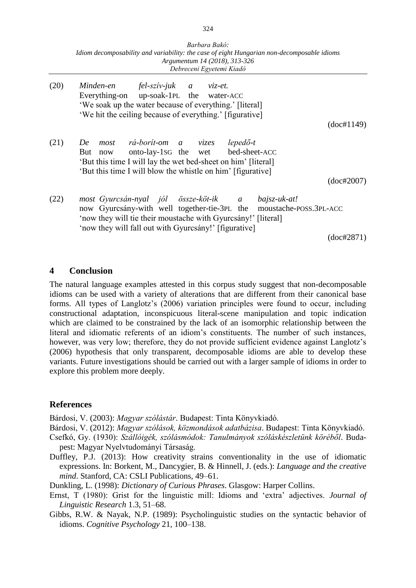|      | Barbara Bakó:<br>Idiom decomposability and variability: the case of eight Hungarian non-decomposable idioms<br>Argumentum 14 (2018), 313-326<br>Debreceni Egyetemi Kiadó                                                                            |            |
|------|-----------------------------------------------------------------------------------------------------------------------------------------------------------------------------------------------------------------------------------------------------|------------|
| (20) | Minden-en fel-szív-juk a viz-et.<br>Everything-on up-soak-1PL the water-ACC<br>'We soak up the water because of everything.' [literal]<br>'We hit the ceiling because of everything.' [figurative]                                                  |            |
|      |                                                                                                                                                                                                                                                     | (doc#1149) |
| (21) | most rá-borít-om a vizes<br>$lepedő-t$<br>De<br>onto-lay-1sG the wet<br>bed-sheet-ACC<br>But<br>now<br>'But this time I will lay the wet bed-sheet on him' [literal]<br>'But this time I will blow the whistle on him' [figurative]                 |            |
|      |                                                                                                                                                                                                                                                     | (doc#2007) |
| (22) | most Gyurcsán-nyal jól össze-köt-ik a bajsz-uk-at!<br>now Gyurcsány-with well together-tie-3PL the moustache-POSS.3PL-ACC<br>'now they will tie their moustache with Gyurcsány!' [literal]<br>'now they will fall out with Gyurcsány!' [figurative] |            |
|      |                                                                                                                                                                                                                                                     | (doc#2871) |

#### **4 Conclusion**

The natural language examples attested in this corpus study suggest that non-decomposable idioms can be used with a variety of alterations that are different from their canonical base forms. All types of Langlotz's (2006) variation principles were found to occur, including constructional adaptation, inconspicuous literal-scene manipulation and topic indication which are claimed to be constrained by the lack of an isomorphic relationship between the literal and idiomatic referents of an idiom's constituents. The number of such instances, however, was very low; therefore, they do not provide sufficient evidence against Langlotz's (2006) hypothesis that only transparent, decomposable idioms are able to develop these variants. Future investigations should be carried out with a larger sample of idioms in order to explore this problem more deeply.

#### **References**

Bárdosi, V. (2003): *Magyar szólástár*. Budapest: Tinta Könyvkiadó.

Bárdosi, V. (2012): *Magyar szólások, közmondások adatbázisa*. Budapest: Tinta Könyvkiadó.

Csefkó, Gy. (1930): *Szállóigék, szólásmódok: Tanulmányok szóláskészletünk köréből*. Budapest: Magyar Nyelvtudományi Társaság.

Duffley, P.J. (2013): How creativity strains conventionality in the use of idiomatic expressions. In: Borkent, M., Dancygier, B. & Hinnell, J. (eds.): *Language and the creative mind*. Stanford, CA: CSLI Publications, 49–61.

Dunkling, L. (1998): *Dictionary of Curious Phrases*. Glasgow: Harper Collins.

Ernst, T (1980): Grist for the linguistic mill: Idioms and 'extra' adjectives. *Journal of Linguistic Research* 1.3, 51–68.

Gibbs, R.W. & Nayak, N.P. (1989): Psycholinguistic studies on the syntactic behavior of idioms. *Cognitive Psychology* 21, 100–138.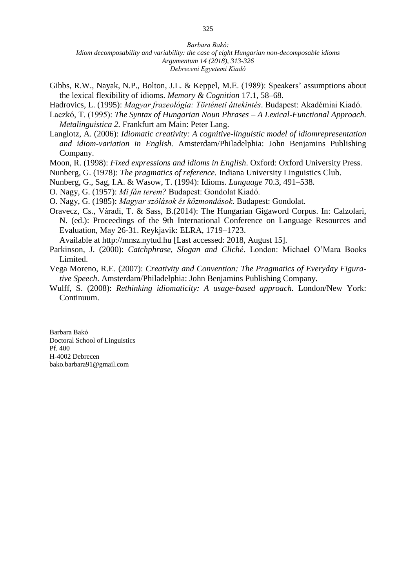- Gibbs, R.W., Nayak, N.P., Bolton, J.L. & Keppel, M.E. (1989): Speakers' assumptions about the lexical flexibility of idioms. *Memory & Cognition* 17.1, 58–68.
- Hadrovics, L. (1995): *Magyar frazeológia: Történeti áttekintés*. Budapest: Akadémiai Kiadó.
- Laczkó, T. (1995): *The Syntax of Hungarian Noun Phrases – A Lexical-Functional Approach. Metalinguistica 2.* Frankfurt am Main: Peter Lang.
- Langlotz, A. (2006): *Idiomatic creativity: A cognitive-linguistic model of idiomrepresentation and idiom-variation in English.* Amsterdam/Philadelphia: John Benjamins Publishing Company.
- Moon, R. (1998): *Fixed expressions and idioms in English*. Oxford: Oxford University Press.
- Nunberg, G. (1978): *The pragmatics of reference.* Indiana University Linguistics Club.
- Nunberg, G., Sag, I.A. & Wasow, T. (1994): Idioms. *Language* 70.3, 491–538.
- O. Nagy, G. (1957): *Mi fán terem?* Budapest: Gondolat Kiadó.
- O. Nagy, G. (1985): *Magyar szólások és közmondások*. Budapest: Gondolat.
- Oravecz, Cs., Váradi, T. & Sass, B.(2014): The Hungarian Gigaword Corpus. In: Calzolari, N. (ed.): Proceedings of the 9th International Conference on Language Resources and Evaluation, May 26-31. Reykjavik: ELRA, 1719–1723.
	- Available at http://mnsz.nytud.hu [Last accessed: 2018, August 15].
- Parkinson, J. (2000): *Catchphrase, Slogan and Cliché*. London: Michael O'Mara Books Limited.
- Vega Moreno, R.E. (2007): *Creativity and Convention: The Pragmatics of Everyday Figurative Speech*. Amsterdam/Philadelphia: John Benjamins Publishing Company.
- Wulff, S. (2008): *Rethinking idiomaticity: A usage-based approach.* London/New York: Continuum.

Barbara Bakó Doctoral School of Linguistics Pf. 400 H-4002 Debrecen bako.barbara91@gmail.com